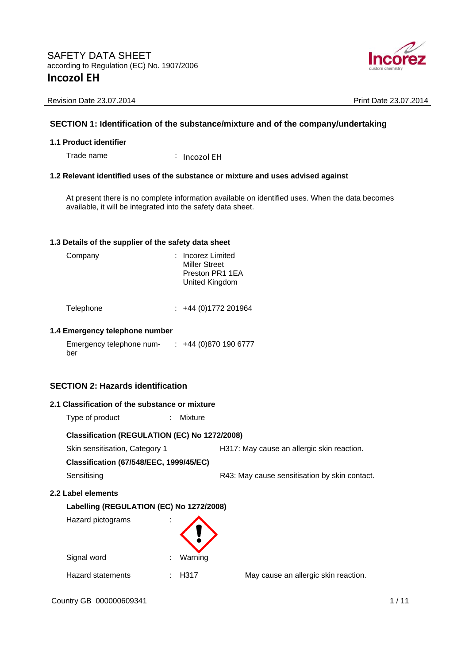

### **SECTION 1: Identification of the substance/mixture and of the company/undertaking**

#### **1.1 Product identifier**

Trade name : Incozol EH

#### **1.2 Relevant identified uses of the substance or mixture and uses advised against**

At present there is no complete information available on identified uses. When the data becomes available, it will be integrated into the safety data sheet.

#### **1.3 Details of the supplier of the safety data sheet**

| Company | : Incorez Limited<br><b>Miller Street</b><br>Preston PR1 1EA<br>United Kingdom |
|---------|--------------------------------------------------------------------------------|
|         |                                                                                |

Telephone : +44 (0)1772 201964

#### **1.4 Emergency telephone number**

Emergency telephone number : +44 (0)870 190 6777

# **SECTION 2: Hazards identification**

| 2.1 Classification of the substance or mixture |               |                                               |
|------------------------------------------------|---------------|-----------------------------------------------|
| Type of product                                | Mixture<br>÷. |                                               |
| Classification (REGULATION (EC) No 1272/2008)  |               |                                               |
| Skin sensitisation, Category 1                 |               | H317: May cause an allergic skin reaction.    |
| <b>Classification (67/548/EEC, 1999/45/EC)</b> |               |                                               |
| Sensitising                                    |               | R43: May cause sensitisation by skin contact. |
| 2.2 Label elements                             |               |                                               |
| Labelling (REGULATION (EC) No 1272/2008)       |               |                                               |
| Hazard pictograms                              |               |                                               |
| Signal word                                    | Warning       |                                               |
| Hazard statements                              | H317          | May cause an allergic skin reaction.          |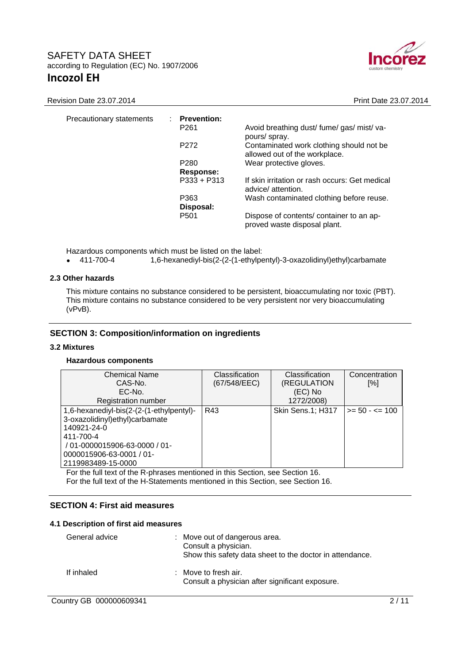

| Precautionary statements | <b>Prevention:</b> |                                                                           |
|--------------------------|--------------------|---------------------------------------------------------------------------|
|                          | P <sub>261</sub>   | Avoid breathing dust/ fume/ gas/ mist/ va-<br>pours/ spray.               |
|                          | P <sub>272</sub>   | Contaminated work clothing should not be<br>allowed out of the workplace. |
|                          | P <sub>280</sub>   | Wear protective gloves.                                                   |
|                          | Response:          |                                                                           |
|                          | $P333 + P313$      | If skin irritation or rash occurs: Get medical<br>advice/attention.       |
|                          | P363               | Wash contaminated clothing before reuse.                                  |
|                          | Disposal:          |                                                                           |
|                          | P <sub>501</sub>   | Dispose of contents/ container to an ap-<br>proved waste disposal plant.  |

Hazardous components which must be listed on the label:

411-700-4 1,6-hexanediyl-bis(2-(2-(1-ethylpentyl)-3-oxazolidinyl)ethyl)carbamate

#### **2.3 Other hazards**

This mixture contains no substance considered to be persistent, bioaccumulating nor toxic (PBT). This mixture contains no substance considered to be very persistent nor very bioaccumulating (vPvB).

#### **SECTION 3: Composition/information on ingredients**

#### **3.2 Mixtures**

#### **Hazardous components**

| <b>Chemical Name</b>                     | Classification | Classification    | Concentration     |
|------------------------------------------|----------------|-------------------|-------------------|
| CAS-No.                                  | (67/548/EEC)   | (REGULATION       | [%]               |
| EC-No.                                   |                | (EC) No           |                   |
| Registration number                      |                | 1272/2008)        |                   |
| 1,6-hexanediyl-bis(2-(2-(1-ethylpentyl)- | R43            | Skin Sens.1; H317 | $>= 50 - \le 100$ |
| 3-oxazolidinyl)ethyl)carbamate           |                |                   |                   |
| 140921-24-0                              |                |                   |                   |
| 411-700-4                                |                |                   |                   |
| / 01-0000015906-63-0000 / 01-            |                |                   |                   |
| 0000015906-63-0001 / 01-                 |                |                   |                   |
| 2119983489-15-0000                       |                |                   |                   |

For the full text of the R-phrases mentioned in this Section, see Section 16. For the full text of the H-Statements mentioned in this Section, see Section 16.

#### **SECTION 4: First aid measures**

#### **4.1 Description of first aid measures**

| General advice | : Move out of dangerous area.<br>Consult a physician.<br>Show this safety data sheet to the doctor in attendance. |
|----------------|-------------------------------------------------------------------------------------------------------------------|
| If inhaled     | : Move to fresh air.<br>Consult a physician after significant exposure.                                           |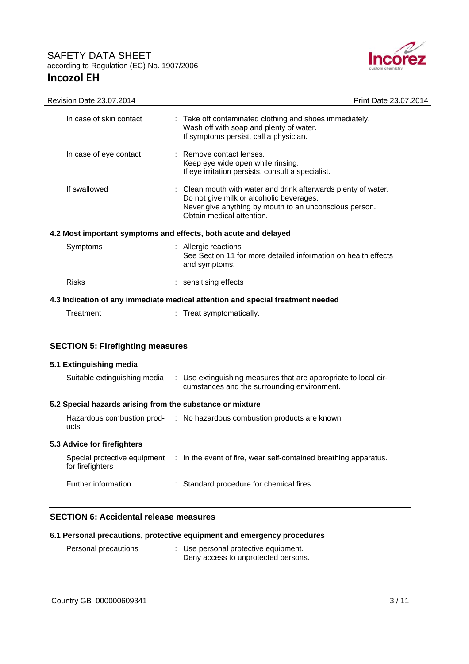$\overline{a}$ 



| Revision Date 23.07.2014                                                       | Print Date 23.07.2014                                                                                                                                                                             |  |  |
|--------------------------------------------------------------------------------|---------------------------------------------------------------------------------------------------------------------------------------------------------------------------------------------------|--|--|
| In case of skin contact                                                        | : Take off contaminated clothing and shoes immediately.<br>Wash off with soap and plenty of water.<br>If symptoms persist, call a physician.                                                      |  |  |
| In case of eye contact                                                         | : Remove contact lenses.<br>Keep eye wide open while rinsing.<br>If eye irritation persists, consult a specialist.                                                                                |  |  |
| If swallowed                                                                   | : Clean mouth with water and drink afterwards plenty of water.<br>Do not give milk or alcoholic beverages.<br>Never give anything by mouth to an unconscious person.<br>Obtain medical attention. |  |  |
| 4.2 Most important symptoms and effects, both acute and delayed                |                                                                                                                                                                                                   |  |  |
| Symptoms                                                                       | : Allergic reactions<br>See Section 11 for more detailed information on health effects<br>and symptoms.                                                                                           |  |  |
| <b>Risks</b>                                                                   | : sensitising effects                                                                                                                                                                             |  |  |
| 4.3 Indication of any immediate medical attention and special treatment needed |                                                                                                                                                                                                   |  |  |
| Treatment                                                                      | Treat symptomatically.                                                                                                                                                                            |  |  |
| <b>SECTION 5: Firefighting measures</b>                                        |                                                                                                                                                                                                   |  |  |
| 5.1 Extinguishing media                                                        |                                                                                                                                                                                                   |  |  |

# Suitable extinguishing media : Use extinguishing measures that are appropriate to local circumstances and the surrounding environment. **5.2 Special hazards arising from the substance or mixture**  Hazardous combustion prod-: No hazardous combustion products are known ucts **5.3 Advice for firefighters**  Special protective equipment : In the event of fire, wear self-contained breathing apparatus. for firefighters Further information : Standard procedure for chemical fires.

#### **SECTION 6: Accidental release measures**

| 6.1 Personal precautions, protective equipment and emergency procedures |
|-------------------------------------------------------------------------|
|-------------------------------------------------------------------------|

| Personal precautions | : Use personal protective equipment. |
|----------------------|--------------------------------------|
|                      | Deny access to unprotected persons.  |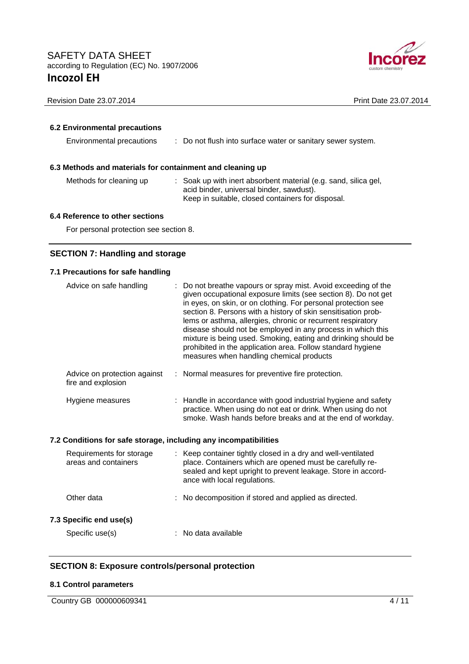

#### **6.2 Environmental precautions**

Environmental precautions : Do not flush into surface water or sanitary sewer system.

#### **6.3 Methods and materials for containment and cleaning up**

- 
- Methods for cleaning up : Soak up with inert absorbent material (e.g. sand, silica gel, acid binder, universal binder, sawdust). Keep in suitable, closed containers for disposal.

#### **6.4 Reference to other sections**

For personal protection see section 8.

### **SECTION 7: Handling and storage**

#### **7.1 Precautions for safe handling**

| Advice on safe handling                            | : Do not breathe vapours or spray mist. Avoid exceeding of the<br>given occupational exposure limits (see section 8). Do not get<br>in eyes, on skin, or on clothing. For personal protection see<br>section 8. Persons with a history of skin sensitisation prob-<br>lems or asthma, allergies, chronic or recurrent respiratory<br>disease should not be employed in any process in which this<br>mixture is being used. Smoking, eating and drinking should be<br>prohibited in the application area. Follow standard hygiene<br>measures when handling chemical products |
|----------------------------------------------------|------------------------------------------------------------------------------------------------------------------------------------------------------------------------------------------------------------------------------------------------------------------------------------------------------------------------------------------------------------------------------------------------------------------------------------------------------------------------------------------------------------------------------------------------------------------------------|
| Advice on protection against<br>fire and explosion | : Normal measures for preventive fire protection.                                                                                                                                                                                                                                                                                                                                                                                                                                                                                                                            |
| Hygiene measures                                   | : Handle in accordance with good industrial hygiene and safety<br>practice. When using do not eat or drink. When using do not<br>smoke. Wash hands before breaks and at the end of workday.                                                                                                                                                                                                                                                                                                                                                                                  |

#### **7.2 Conditions for safe storage, including any incompatibilities**

| Requirements for storage<br>areas and containers | : Keep container tightly closed in a dry and well-ventilated<br>place. Containers which are opened must be carefully re-<br>sealed and kept upright to prevent leakage. Store in accord-<br>ance with local regulations. |
|--------------------------------------------------|--------------------------------------------------------------------------------------------------------------------------------------------------------------------------------------------------------------------------|
| Other data                                       | : No decomposition if stored and applied as directed.                                                                                                                                                                    |
| 7.3 Specific end use(s)<br>Specific use(s)       | $:$ No data available                                                                                                                                                                                                    |

#### **SECTION 8: Exposure controls/personal protection**

#### **8.1 Control parameters**

|  | Country GB 000000609341 |  |
|--|-------------------------|--|
|--|-------------------------|--|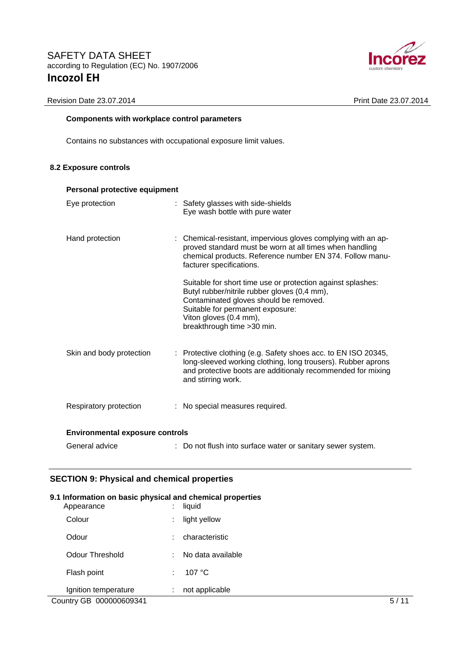

# **Components with workplace control parameters**

Contains no substances with occupational exposure limit values.

#### **8.2 Exposure controls**

| Personal protective equipment          |                                                                                                                                                                                                                                                    |  |  |
|----------------------------------------|----------------------------------------------------------------------------------------------------------------------------------------------------------------------------------------------------------------------------------------------------|--|--|
| Eye protection                         | : Safety glasses with side-shields<br>Eye wash bottle with pure water                                                                                                                                                                              |  |  |
| Hand protection                        | : Chemical-resistant, impervious gloves complying with an ap-<br>proved standard must be worn at all times when handling<br>chemical products. Reference number EN 374. Follow manu-<br>facturer specifications.                                   |  |  |
|                                        | Suitable for short time use or protection against splashes:<br>Butyl rubber/nitrile rubber gloves (0,4 mm),<br>Contaminated gloves should be removed.<br>Suitable for permanent exposure:<br>Viton gloves (0.4 mm),<br>breakthrough time > 30 min. |  |  |
| Skin and body protection               | $\therefore$ Protective clothing (e.g. Safety shoes acc. to EN ISO 20345,<br>long-sleeved working clothing, long trousers). Rubber aprons<br>and protective boots are additionaly recommended for mixing<br>and stirring work.                     |  |  |
| Respiratory protection                 | : No special measures required.                                                                                                                                                                                                                    |  |  |
| <b>Environmental exposure controls</b> |                                                                                                                                                                                                                                                    |  |  |
| General advice                         | : Do not flush into surface water or sanitary sewer system.                                                                                                                                                                                        |  |  |

# **SECTION 9: Physical and chemical properties**

| 9.1 Information on basic physical and chemical properties<br>Appearance | ÷                 | liquid            |    |
|-------------------------------------------------------------------------|-------------------|-------------------|----|
| Colour                                                                  | ٠<br>$\sim$       | light yellow      |    |
| Odour                                                                   | ÷                 | characteristic    |    |
| Odour Threshold                                                         | ÷                 | No data available |    |
| Flash point                                                             |                   | 107 $\degree$ C   |    |
| Ignition temperature                                                    | ٠<br>$\mathbf{r}$ | not applicable    |    |
| Country GB 000000609341                                                 |                   |                   | 5/ |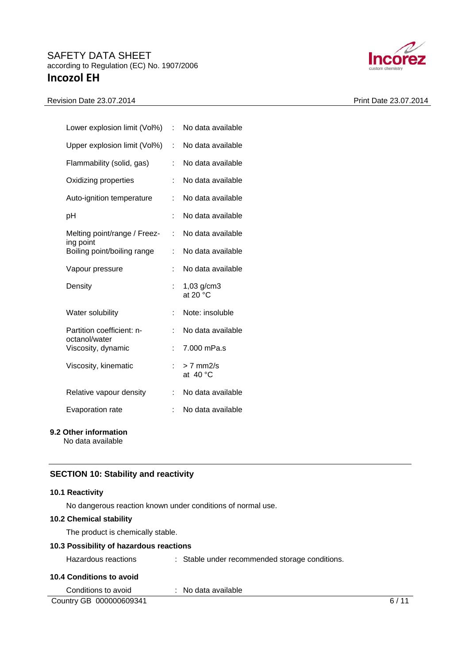# Revision Date 23.07.2014 Print Date 23.07.2014



| Lower explosion limit (Vol%)             | t. | No data available                  |
|------------------------------------------|----|------------------------------------|
| Upper explosion limit (Vol%)             | ÷  | No data available                  |
| Flammability (solid, gas)                | ÷  | No data available                  |
| Oxidizing properties                     | t. | No data available                  |
| Auto-ignition temperature                | ÷  | No data available                  |
| рH                                       |    | No data available                  |
| Melting point/range / Freez-             | ÷  | No data available                  |
| ing point<br>Boiling point/boiling range | t. | No data available                  |
| Vapour pressure                          | ÷  | No data available                  |
| Density                                  |    | $1,03$ g/cm3<br>at 20 $^{\circ}$ C |
| Water solubility                         | ÷  | Note: insoluble                    |
| Partition coefficient: n-                |    | No data available                  |
| octanol/water<br>Viscosity, dynamic      | ÷  | 7.000 mPa.s                        |
| Viscosity, kinematic                     | ÷. | $> 7$ mm2/s<br>at $40 °C$          |
| Relative vapour density                  | t. | No data available                  |
| Evaporation rate                         | t  | No data available                  |
|                                          |    |                                    |

### **9.2 Other information**

No data available

# **SECTION 10: Stability and reactivity**

#### **10.1 Reactivity**

No dangerous reaction known under conditions of normal use.

#### **10.2 Chemical stability**

The product is chemically stable.

### **10.3 Possibility of hazardous reactions**

| Hazardous reactions |  | : Stable under recommended storage conditions. |
|---------------------|--|------------------------------------------------|
|---------------------|--|------------------------------------------------|

#### **10.4 Conditions to avoid**

| Conditions to avoid     | $\therefore$ No data available |  |
|-------------------------|--------------------------------|--|
| Country GB 000000609341 |                                |  |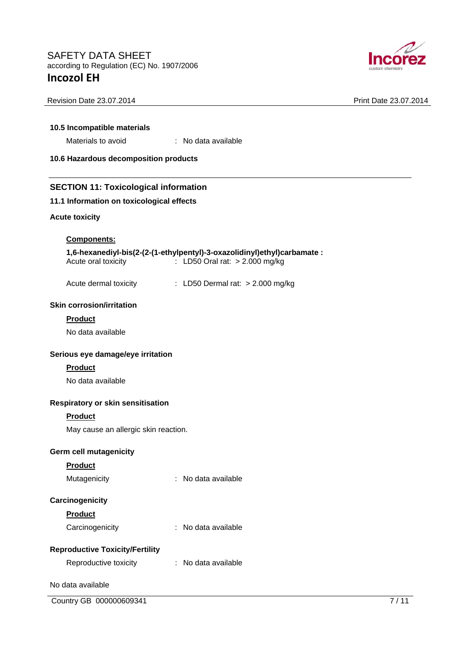

| 10.5 Incompatible materials<br>Materials to avoid | : No data available                                                                                        |      |  |  |
|---------------------------------------------------|------------------------------------------------------------------------------------------------------------|------|--|--|
| 10.6 Hazardous decomposition products             |                                                                                                            |      |  |  |
| <b>SECTION 11: Toxicological information</b>      |                                                                                                            |      |  |  |
| 11.1 Information on toxicological effects         |                                                                                                            |      |  |  |
| <b>Acute toxicity</b>                             |                                                                                                            |      |  |  |
| <b>Components:</b>                                |                                                                                                            |      |  |  |
| Acute oral toxicity                               | 1,6-hexanediyl-bis(2-(2-(1-ethylpentyl)-3-oxazolidinyl)ethyl)carbamate :<br>: LD50 Oral rat: > 2.000 mg/kg |      |  |  |
| Acute dermal toxicity                             | : LD50 Dermal rat: $> 2.000$ mg/kg                                                                         |      |  |  |
| <b>Skin corrosion/irritation</b>                  |                                                                                                            |      |  |  |
| <b>Product</b>                                    |                                                                                                            |      |  |  |
| No data available                                 |                                                                                                            |      |  |  |
| Serious eye damage/eye irritation                 |                                                                                                            |      |  |  |
| <b>Product</b>                                    |                                                                                                            |      |  |  |
| No data available                                 |                                                                                                            |      |  |  |
| Respiratory or skin sensitisation                 |                                                                                                            |      |  |  |
| <b>Product</b>                                    |                                                                                                            |      |  |  |
| May cause an allergic skin reaction.              |                                                                                                            |      |  |  |
| <b>Germ cell mutagenicity</b>                     |                                                                                                            |      |  |  |
| <b>Product</b>                                    |                                                                                                            |      |  |  |
| Mutagenicity                                      | No data available                                                                                          |      |  |  |
| Carcinogenicity                                   |                                                                                                            |      |  |  |
| Product                                           |                                                                                                            |      |  |  |
| Carcinogenicity                                   | No data available                                                                                          |      |  |  |
| <b>Reproductive Toxicity/Fertility</b>            |                                                                                                            |      |  |  |
| Reproductive toxicity                             | : No data available                                                                                        |      |  |  |
| No data available                                 |                                                                                                            |      |  |  |
| Country GB 000000609341                           |                                                                                                            | 7/11 |  |  |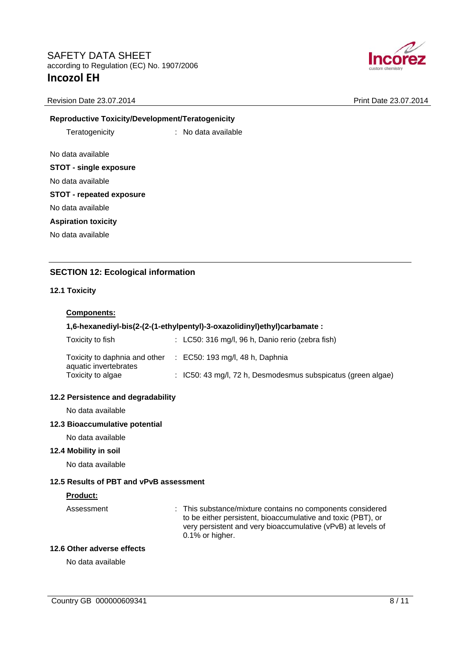

#### **Reproductive Toxicity/Development/Teratogenicity**

Teratogenicity : No data available

No data available

#### **STOT - single exposure**

No data available

#### **STOT - repeated exposure**

No data available

#### **Aspiration toxicity**

No data available

# **SECTION 12: Ecological information**

#### **12.1 Toxicity**

#### **Components:**

#### **1,6-hexanediyl-bis(2-(2-(1-ethylpentyl)-3-oxazolidinyl)ethyl)carbamate :**

| Toxicity to fish                                                            | $\therefore$ LC50: 316 mg/l, 96 h, Danio rerio (zebra fish)             |
|-----------------------------------------------------------------------------|-------------------------------------------------------------------------|
| Toxicity to daphnia and other<br>aquatic invertebrates<br>Toxicity to algae | $\therefore$ EC50: 193 mg/l, 48 h, Daphnia                              |
|                                                                             | $\therefore$ IC50: 43 mg/l, 72 h, Desmodesmus subspicatus (green algae) |

#### **12.2 Persistence and degradability**

No data available

#### **12.3 Bioaccumulative potential**

No data available

#### **12.4 Mobility in soil**

No data available

#### **12.5 Results of PBT and vPvB assessment**

#### **Product:**

Assessment : This substance/mixture contains no components considered to be either persistent, bioaccumulative and toxic (PBT), or very persistent and very bioaccumulative (vPvB) at levels of 0.1% or higher.

#### **12.6 Other adverse effects**

No data available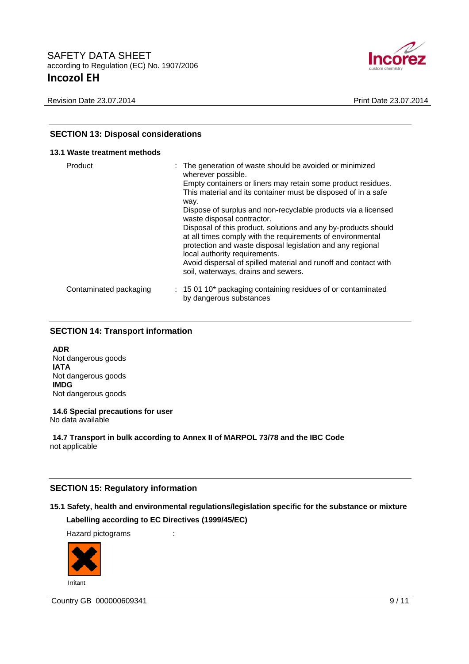

| <b>SECTION 13: Disposal considerations</b><br>13.1 Waste treatment methods |                                                                                                    |  |  |
|----------------------------------------------------------------------------|----------------------------------------------------------------------------------------------------|--|--|
|                                                                            |                                                                                                    |  |  |
| Contaminated packaging                                                     | $\therefore$ 15 01 10* packaging containing residues of or contaminated<br>by dangerous substances |  |  |

# **SECTION 14: Transport information**

**ADR**  Not dangerous goods **IATA**  Not dangerous goods **IMDG**  Not dangerous goods

**14.6 Special precautions for user**  No data available

**14.7 Transport in bulk according to Annex II of MARPOL 73/78 and the IBC Code**  not applicable

#### **SECTION 15: Regulatory information**

# **15.1 Safety, health and environmental regulations/legislation specific for the substance or mixture**

# **Labelling according to EC Directives (1999/45/EC)**

Hazard pictograms :



Irritant

Country GB 000000609341 9/11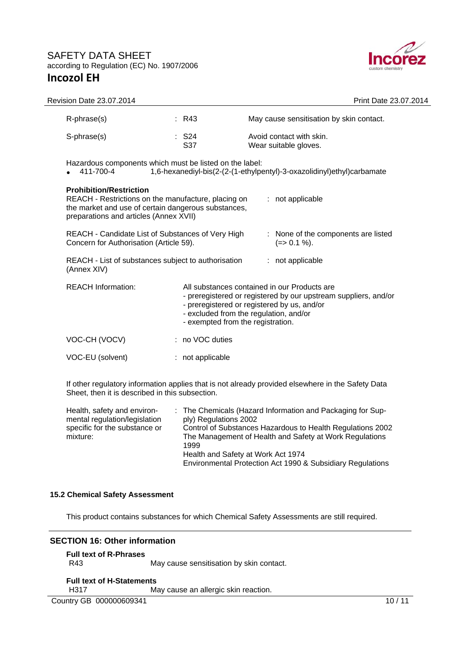

| Revision Date 23.07.2014                                                                                                                                                                                   |                                   | Print Date 23.07.2014                                                                                                                                                                                    |  |  |
|------------------------------------------------------------------------------------------------------------------------------------------------------------------------------------------------------------|-----------------------------------|----------------------------------------------------------------------------------------------------------------------------------------------------------------------------------------------------------|--|--|
| R-phrase(s)                                                                                                                                                                                                | : R43                             | May cause sensitisation by skin contact.                                                                                                                                                                 |  |  |
| S-phrase(s)                                                                                                                                                                                                | : S24<br>S37                      | Avoid contact with skin.<br>Wear suitable gloves.                                                                                                                                                        |  |  |
| Hazardous components which must be listed on the label:<br>411-700-4                                                                                                                                       |                                   | 1,6-hexanediyl-bis(2-(2-(1-ethylpentyl)-3-oxazolidinyl)ethyl)carbamate                                                                                                                                   |  |  |
| <b>Prohibition/Restriction</b><br>REACH - Restrictions on the manufacture, placing on<br>: not applicable<br>the market and use of certain dangerous substances,<br>preparations and articles (Annex XVII) |                                   |                                                                                                                                                                                                          |  |  |
| REACH - Candidate List of Substances of Very High<br>Concern for Authorisation (Article 59).                                                                                                               |                                   | : None of the components are listed<br>$(=>0.1\%).$                                                                                                                                                      |  |  |
| REACH - List of substances subject to authorisation<br>(Annex XIV)                                                                                                                                         |                                   | : not applicable                                                                                                                                                                                         |  |  |
| <b>REACH Information:</b>                                                                                                                                                                                  | - exempted from the registration. | All substances contained in our Products are<br>- preregistered or registered by our upstream suppliers, and/or<br>- preregistered or registered by us, and/or<br>- excluded from the regulation, and/or |  |  |
| VOC-CH (VOCV)                                                                                                                                                                                              | : no VOC duties                   |                                                                                                                                                                                                          |  |  |
| VOC-EU (solvent)                                                                                                                                                                                           | : not applicable                  |                                                                                                                                                                                                          |  |  |
|                                                                                                                                                                                                            |                                   |                                                                                                                                                                                                          |  |  |

If other regulatory information applies that is not already provided elsewhere in the Safety Data Sheet, then it is described in this subsection.

| Health, safety and environ-   | : The Chemicals (Hazard Information and Packaging for Sup- |
|-------------------------------|------------------------------------------------------------|
| mental regulation/legislation | ply) Regulations 2002                                      |
| specific for the substance or | Control of Substances Hazardous to Health Regulations 2002 |
| mixture:                      | The Management of Health and Safety at Work Regulations    |
|                               | 1999                                                       |
|                               | Health and Safety at Work Act 1974                         |
|                               | Environmental Protection Act 1990 & Subsidiary Regulations |

#### **15.2 Chemical Safety Assessment**

This product contains substances for which Chemical Safety Assessments are still required.

#### **SECTION 16: Other information**

#### **Full text of R-Phrases**

R43 May cause sensitisation by skin contact.

#### **Full text of H-Statements**

H317 May cause an allergic skin reaction.